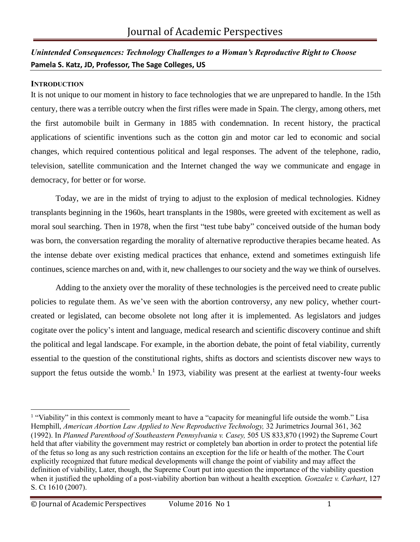# *Unintended Consequences: Technology Challenges to a Woman's Reproductive Right to Choose*  **Pamela S. Katz, JD, Professor, The Sage Colleges, US**

#### **INTRODUCTION**

It is not unique to our moment in history to face technologies that we are unprepared to handle. In the 15th century, there was a terrible outcry when the first rifles were made in Spain. The clergy, among others, met the first automobile built in Germany in 1885 with condemnation. In recent history, the practical applications of scientific inventions such as the cotton gin and motor car led to economic and social changes, which required contentious political and legal responses. The advent of the telephone, radio, television, satellite communication and the Internet changed the way we communicate and engage in democracy, for better or for worse.

Today, we are in the midst of trying to adjust to the explosion of medical technologies. Kidney transplants beginning in the 1960s, heart transplants in the 1980s, were greeted with excitement as well as moral soul searching. Then in 1978, when the first "test tube baby" conceived outside of the human body was born, the conversation regarding the morality of alternative reproductive therapies became heated. As the intense debate over existing medical practices that enhance, extend and sometimes extinguish life continues, science marches on and, with it, new challenges to our society and the way we think of ourselves.

Adding to the anxiety over the morality of these technologies is the perceived need to create public policies to regulate them. As we've seen with the abortion controversy, any new policy, whether courtcreated or legislated, can become obsolete not long after it is implemented. As legislators and judges cogitate over the policy's intent and language, medical research and scientific discovery continue and shift the political and legal landscape. For example, in the abortion debate, the point of fetal viability, currently essential to the question of the constitutional rights, shifts as doctors and scientists discover new ways to support the fetus outside the womb.<sup>[1](#page-1-0)</sup> In 1973, viability was present at the earliest at twenty-four weeks

<sup>&</sup>lt;sup>1</sup> "Viability" in this context is commonly meant to have a "capacity for meaningful life outside the womb." Lisa Hemphill, *American Abortion Law Applied to New Reproductive Technology,* 32 Jurimetrics Journal 361, 362 (1992). In *Planned Parenthood of Southeastern Pennsylvania v. Casey,* 505 US 833,870 (1992) the Supreme Court held that after viability the government may restrict or completely ban abortion in order to protect the potential life of the fetus so long as any such restriction contains an exception for the life or health of the mother. The Court explicitly recognized that future medical developments will change the point of viability and may affect the definition of viability, Later, though, the Supreme Court put into question the importance of the viability question when it justified the upholding of a post-viability abortion ban without a health exception*. Gonzalez v. Carhart*, 127 S. Ct 1610 (2007).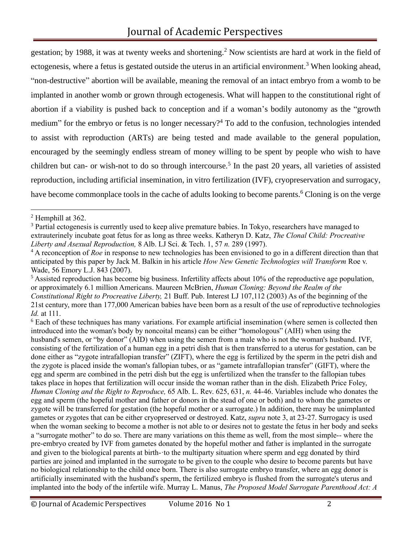<span id="page-1-0"></span>gestation; by 1988, it was at twenty weeks and shortening.<sup>2</sup> Now scientists are hard at work in the field of ectogenesis, where a fetus is gestated outside the uterus in an artificial environment.<sup>3</sup> When looking ahead, "non-destructive" abortion will be available, meaning the removal of an intact embryo from a womb to be implanted in another womb or grown through ectogenesis. What will happen to the constitutional right of abortion if a viability is pushed back to conception and if a woman's bodily autonomy as the "growth medium" for the embryo or fetus is no longer necessary?<sup>4</sup> To add to the confusion, technologies intended to assist with reproduction (ARTs) are being tested and made available to the general population, encouraged by the seemingly endless stream of money willing to be spent by people who wish to have children but can- or wish-not to do so through intercourse.<sup>5</sup> In the past 20 years, all varieties of assisted reproduction, including artificial insemination, in vitro fertilization (IVF), cryopreservation and surrogacy, have become commonplace tools in the cache of adults looking to become parents.<sup>6</sup> Cloning is on the verge

<sup>2</sup> Hemphill at 362.

<sup>&</sup>lt;sup>3</sup> Partial ectogenesis is currently used to keep alive premature babies. In Tokyo, researchers have managed to extrauterinely incubate goat fetus for as long as three weeks. Katheryn D. Katz, *The Clonal Child: Procreative Liberty and Asexual Reproduction,* 8 Alb. LJ Sci. & Tech. 1, 57 *n.* 289 (1997).

<sup>&</sup>lt;sup>4</sup> A reconception of *Roe* in response to new technologies has been envisioned to go in a different direction than that anticipated by this paper by Jack M. Balkin in his article *How New Genetic Technologies will Transform* Roe v. Wade, 56 Emory L.J. 843 (2007).

 $<sup>5</sup>$  Assisted reproduction has become big business. Infertility affects about 10% of the reproductive age population,</sup> or approximately 6.1 million Americans. Maureen McBrien, *Human Cloning: Beyond the Realm of the Constitutional Right to Procreative Liberty,* 21 Buff. Pub. Interest LJ 107,112 (2003) As of the beginning of the 21st century, more than 177,000 American babies have been born as a result of the use of reproductive technologies *Id.* at 111.

<sup>&</sup>lt;sup>6</sup> Each of these techniques has many variations. For example artificial insemination (where semen is collected then introduced into the woman's body by noncoital means) can be either "homologous" (AIH) when using the husband's semen, or "by donor" (AID) when using the semen from a male who is not the woman's husband. IVF, consisting of the fertilization of a human egg in a petri dish that is then transferred to a uterus for gestation, can be done either as "zygote intrafallopian transfer" (ZIFT), where the egg is fertilized by the sperm in the petri dish and the zygote is placed inside the woman's fallopian tubes, or as "gamete intrafallopian transfer" (GIFT), where the egg and sperm are combined in the petri dish but the egg is unfertilized when the transfer to the fallopian tubes takes place in hopes that fertilization will occur inside the woman rather than in the dish. Elizabeth Price Foley, *Human Cloning and the Right to Reproduce,* 65 Alb. L. Rev. 625, 631, *n.* 44-46. Variables include who donates the egg and sperm (the hopeful mother and father or donors in the stead of one or both) and to whom the gametes or zygote will be transferred for gestation (the hopeful mother or a surrogate.) In addition, there may be unimplanted gametes or zygotes that can be either cryopreserved or destroyed. Katz, *supra* note 3, at 23-27. Surrogacy is used when the woman seeking to become a mother is not able to or desires not to gestate the fetus in her body and seeks a "surrogate mother" to do so. There are many variations on this theme as well, from the most simple-- where the pre-embryo created by IVF from gametes donated by the hopeful mother and father is implanted in the surrogate and given to the biological parents at birth-·to the multiparty situation where sperm and egg donated by third parties are joined and implanted in the surrogate to be given to the couple who desire to become parents but have no biological relationship to the child once born. There is also surrogate embryo transfer, where an egg donor is artificially inseminated with the husband's sperm, the fertilized embryo is flushed from the surrogate's uterus and implanted into the body of the infertile wife. Murray L. Manus, *The Proposed Model Surrogate Parenthood Act: A*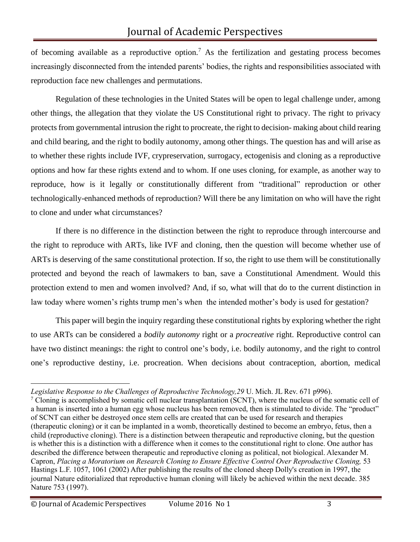of becoming available as a reproductive option.<sup>7</sup> As the fertilization and gestating process becomes increasingly disconnected from the intended parents' bodies, the rights and responsibilities associated with reproduction face new challenges and permutations.

Regulation of these technologies in the United States will be open to legal challenge under, among other things, the allegation that they violate the US Constitutional right to privacy. The right to privacy protects from governmental intrusion the right to procreate, the right to decision- making about child rearing and child bearing, and the right to bodily autonomy, among other things. The question has and will arise as to whether these rights include IVF, crypreservation, surrogacy, ectogenisis and cloning as a reproductive options and how far these rights extend and to whom. If one uses cloning, for example, as another way to reproduce, how is it legally or constitutionally different from "traditional" reproduction or other technologically-enhanced methods of reproduction? Will there be any limitation on who will have the right to clone and under what circumstances?

If there is no difference in the distinction between the right to reproduce through intercourse and the right to reproduce with ARTs, like IVF and cloning, then the question will become whether use of ARTs is deserving of the same constitutional protection. If so, the right to use them will be constitutionally protected and beyond the reach of lawmakers to ban, save a Constitutional Amendment. Would this protection extend to men and women involved? And, if so, what will that do to the current distinction in law today where women's rights trump men's when the intended mother's body is used for gestation?

This paper will begin the inquiry regarding these constitutional rights by exploring whether the right to use ARTs can be considered a *bodily autonomy* right or a *procreative* right. Reproductive control can have two distinct meanings: the right to control one's body, i.e. bodily autonomy, and the right to control one's reproductive destiny, i.e. procreation. When decisions about contraception, abortion, medical

*Legislative Response to the Challenges of Reproductive Technology,29* U. Mich. JL Rev. 671 p996).

 $7$  Cloning is accomplished by somatic cell nuclear transplantation (SCNT), where the nucleus of the somatic cell of a human is inserted into a human egg whose nucleus has been removed, then is stimulated to divide. The "product" of SCNT can either be destroyed once stem cells are created that can be used for research and therapies (therapeutic cloning) or it can be implanted in a womb, theoretically destined to become an embryo, fetus, then a child (reproductive cloning). There is a distinction between therapeutic and reproductive cloning, but the question is whether this is a distinction with a difference when it comes to the constitutional right to clone. One author has described the difference between therapeutic and reproductive cloning as political, not biological. Alexander M. Capron, *Placing a Moratorium on Research Cloning to Ensure Effective Control Over Reproductive Cloning,* 53 Hastings L.F. 1057, 1061 (2002) After publishing the results of the cloned sheep Dolly's creation in 1997, the journal Nature editorialized that reproductive human cloning will likely be achieved within the next decade. 385 Nature 753 (1997).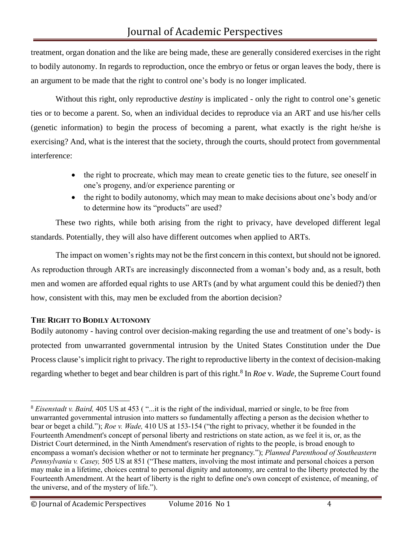treatment, organ donation and the like are being made, these are generally considered exercises in the right to bodily autonomy. In regards to reproduction, once the embryo or fetus or organ leaves the body, there is an argument to be made that the right to control one's body is no longer implicated.

Without this right, only reproductive *destiny* is implicated - only the right to control one's genetic ties or to become a parent. So, when an individual decides to reproduce via an ART and use his/her cells (genetic information) to begin the process of becoming a parent, what exactly is the right he/she is exercising? And, what is the interest that the society, through the courts, should protect from governmental interference:

- the right to procreate, which may mean to create genetic ties to the future, see oneself in one's progeny, and/or experience parenting or
- the right to bodily autonomy, which may mean to make decisions about one's body and/or to determine how its "products" are used?

These two rights, while both arising from the right to privacy, have developed different legal standards. Potentially, they will also have different outcomes when applied to ARTs.

The impact on women's rights may not be the first concern in this context, but should not be ignored. As reproduction through ARTs are increasingly disconnected from a woman's body and, as a result, both men and women are afforded equal rights to use ARTs (and by what argument could this be denied?) then how, consistent with this, may men be excluded from the abortion decision?

## **THE RIGHT TO BODILY AUTONOMY**

Bodily autonomy - having control over decision-making regarding the use and treatment of one's body- is protected from unwarranted governmental intrusion by the United States Constitution under the Due Process clause's implicit right to privacy. The right to reproductive liberty in the context of decision-making regarding whether to beget and bear children is part of this right.<sup>8</sup> In *Roe* v. *Wade*, the Supreme Court found

<sup>8</sup> *Eisenstadt v. Baird,* 405 US at 453 ( "...it is the right of the individual, married or single, to be free from unwarranted governmental intrusion into matters so fundamentally affecting a person as the decision whether to bear or beget a child."); *Roe v. Wade,* 410 US at 153-154 ("the right to privacy, whether it be founded in the Fourteenth Amendment's concept of personal liberty and restrictions on state action, as we feel it is, or, as the District Court determined, in the Ninth Amendment's reservation of rights to the people, is broad enough to encompass a woman's decision whether or not to terminate her pregnancy."); *Planned Parenthood of Southeastern Pennsylvania v. Casey,* 505 US at 851 ("These matters, involving the most intimate and personal choices a person may make in a lifetime, choices central to personal dignity and autonomy, are central to the liberty protected by the Fourteenth Amendment. At the heart of liberty is the right to define one's own concept of existence, of meaning, of the universe, and of the mystery of life.").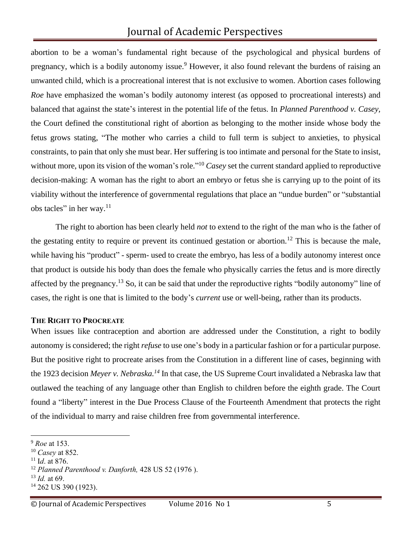abortion to be a woman's fundamental right because of the psychological and physical burdens of pregnancy, which is a bodily autonomy issue.<sup>9</sup> However, it also found relevant the burdens of raising an unwanted child, which is a procreational interest that is not exclusive to women. Abortion cases following *Roe* have emphasized the woman's bodily autonomy interest (as opposed to procreational interests) and balanced that against the state's interest in the potential life of the fetus. In *Planned Parenthood v. Casey,*  the Court defined the constitutional right of abortion as belonging to the mother inside whose body the fetus grows stating, "The mother who carries a child to full term is subject to anxieties, to physical constraints, to pain that only she must bear. Her suffering is too intimate and personal for the State to insist, without more, upon its vision of the woman's role."<sup>10</sup> *Casey* set the current standard applied to reproductive decision-making: A woman has the right to abort an embryo or fetus she is carrying up to the point of its viability without the interference of governmental regulations that place an "undue burden" or "substantial obs tacles" in her way.<sup>11</sup>

The right to abortion has been clearly held *not* to extend to the right of the man who is the father of the gestating entity to require or prevent its continued gestation or abortion.<sup>12</sup> This is because the male. while having his "product" - sperm- used to create the embryo, has less of a bodily autonomy interest once that product is outside his body than does the female who physically carries the fetus and is more directly affected by the pregnancy.<sup>13</sup> So, it can be said that under the reproductive rights "bodily autonomy" line of cases, the right is one that is limited to the body's *current* use or well-being, rather than its products.

#### **THE RIGHT TO PROCREATE**

When issues like contraception and abortion are addressed under the Constitution, a right to bodily autonomy is considered; the right *refuse* to use one's body in a particular fashion or for a particular purpose. But the positive right to procreate arises from the Constitution in a different line of cases, beginning with the 1923 decision *Meyer v. Nebraska.<sup>14</sup>* In that case, the US Supreme Court invalidated a Nebraska law that outlawed the teaching of any language other than English to children before the eighth grade. The Court found a "liberty" interest in the Due Process Clause of the Fourteenth Amendment that protects the right of the individual to marry and raise children free from governmental interference.

<sup>9</sup> *Roe* at 153.

<sup>10</sup> *Casey* at 852.

<sup>11</sup> I*d*. at 876.

<sup>12</sup> *Planned Parenthood v. Danforth,* 428 US 52 (1976 ).

<sup>13</sup> *Id.* at 69.

<sup>14</sup> 262 US 390 (1923).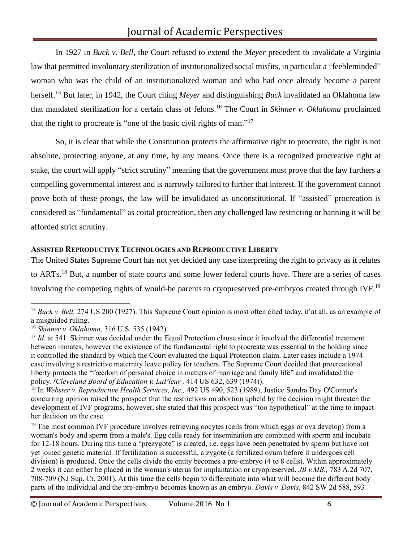In 1927 in *Buck v. Bell,* the Court refused to extend the *Meyer* precedent to invalidate a Virginia law that permitted involuntary sterilization of institutionalized social misfits, in particular a "feebleminded" woman who was the child of an institutionalized woman and who had once already become a parent herself.<sup>15</sup> But later, in 1942, the Court citing *Meyer* and distinguishing *Buck* invalidated an Oklahoma law that mandated sterilization for a certain class of felons.<sup>16</sup> The Court in *Skinner v. Oklahoma* proclaimed that the right to procreate is "one of the basic civil rights of man." 17

So, it is clear that while the Constitution protects the affirmative right to procreate, the right is not absolute, protecting anyone, at any time, by any means. Once there is a recognized procreative right at stake, the court will apply "strict scrutiny" meaning that the government must prove that the law furthers a compelling governmental interest and is narrowly tailored to further that interest. If the government cannot prove both of these prongs, the law will be invalidated as unconstitutional. If "assisted" procreation is considered as "fundamental" as coital procreation, then any challenged law restricting or banning it will be afforded strict scrutiny.

## **ASSISTED REPRODUCTIVE TECHNOLOGIES AND REPRODUCTIVE LIBERTY**

The United States Supreme Court has not yet decided any case interpreting the right to privacy as it relates to ARTs.<sup>18</sup> But, a number of state courts and some lower federal courts have. There are a series of cases involving the competing rights of would-be parents to cryopreserved pre-embryos created through IVF.<sup>19</sup>

<sup>&</sup>lt;sup>15</sup> Buck v. Bell, 274 US 200 (1927). This Supreme Court opinion is most often cited today, if at all, as an example of a misguided ruling.

<sup>16</sup> *Skinner v. Oklahoma,* 316 U.S. 535 (1942).

<sup>&</sup>lt;sup>17</sup> *Id.* at 541. Skinner was decided under the Equal Protection clause since it involved the differential treatment between inmates, however the existence of the fundamental right to procreate was essential to the holding since it controlled the standard by which the Court evaluated the Equal Protection claim. Later cases include a 1974 case involving a restrictive maternity leave policy for teachers. The Supreme Court decided that procreational liberty protects the "freedom of personal choice in matters of marriage and family life" and invalidated the policy. *(Cleveland Board of Education v. LaFleur ,* 414 US 632, 639 (1974)).

<sup>&</sup>lt;sup>18</sup> In *Webster v. Reproductive Health Services, Inc.,* 492 US 490, 523 (1989), Justice Sandra Day O'Connor's concurring opinion raised the prospect that the restrictions on abortion upheld by the decision might threaten the development of IVF programs, however, she stated that this prospect was "too hypothetical" at the time to impact her decision on the case.

<sup>&</sup>lt;sup>19</sup> The most common IVF procedure involves retrieving oocytes (cells from which eggs or ova develop) from a woman's body and sperm from a male's. Egg cells ready for insemination are combined with sperm and incubate for 12-18 hours. During this time a "prezygote" is created, i.e. eggs have been penetrated by sperm but have not yet joined genetic material. If fertilization is successful, a zygote (a fertilized ovum before it undergoes cell division) is produced. Once the cells divide the entity becomes a pre-embryo (4 to 8 cells). Within approximately 2 weeks it can either be placed in the woman's uterus for implantation or cryopreserved. *JB v.MB.,* 783 A.2d 707, 708-709 (NJ Sup. Ct. 2001). At this time the cells begin to differentiate into what will become the different body parts of the individual and the pre-embryo becomes known as an embryo. *Davis v. Davis,* 842 SW 2d 588, 593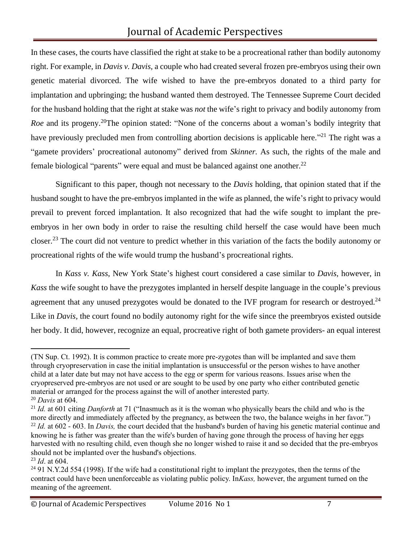In these cases, the courts have classified the right at stake to be a procreational rather than bodily autonomy right. For example, in *Davis v. Davis,* a couple who had created several frozen pre-embryos using their own genetic material divorced. The wife wished to have the pre-embryos donated to a third party for implantation and upbringing; the husband wanted them destroyed. The Tennessee Supreme Court decided for the husband holding that the right at stake was *not* the wife's right to privacy and bodily autonomy from *Roe* and its progeny.<sup>20</sup>The opinion stated: "None of the concerns about a woman's bodily integrity that have previously precluded men from controlling abortion decisions is applicable here."<sup>21</sup> The right was a "gamete providers' procreational autonomy" derived from *Skinner.* As such, the rights of the male and female biological "parents" were equal and must be balanced against one another. $^{22}$ 

Significant to this paper, though not necessary to the *Davis* holding, that opinion stated that if the husband sought to have the pre-embryos implanted in the wife as planned, the wife's right to privacy would prevail to prevent forced implantation. It also recognized that had the wife sought to implant the preembryos in her own body in order to raise the resulting child herself the case would have been much closer.<sup>23</sup> The court did not venture to predict whether in this variation of the facts the bodily autonomy or procreational rights of the wife would trump the husband's procreational rights.

In *Kass v. Kass*, New York State's highest court considered a case similar to *Davis,* however, in *Kass* the wife sought to have the prezygotes implanted in herself despite language in the couple's previous agreement that any unused prezygotes would be donated to the IVF program for research or destroyed.<sup>24</sup> Like in *Davis*, the court found no bodily autonomy right for the wife since the preembryos existed outside her body. It did, however, recognize an equal, procreative right of both gamete providers- an equal interest

<sup>(</sup>TN Sup. Ct. 1992). It is common practice to create more pre-zygotes than will be implanted and save them through cryopreservation in case the initial implantation is unsuccessful or the person wishes to have another child at a later date but may not have access to the egg or sperm for various reasons. Issues arise when the cryopreserved pre-embryos are not used or are sought to be used by one party who either contributed genetic material or arranged for the process against the will of another interested party. <sup>20</sup> *Davis* at 604.

<sup>&</sup>lt;sup>21</sup> *Id.* at 601 citing *Danforth* at 71 ("Inasmuch as it is the woman who physically bears the child and who is the more directly and immediately affected by the pregnancy, as between the two, the balance weighs in her favor.") <sup>22</sup> *Id.* at 602 - 603. In *Davis*, the court decided that the husband's burden of having his genetic material continue and knowing he is father was greater than the wife's burden of having gone through the process of having her eggs harvested with no resulting child, even though she no longer wished to raise it and so decided that the pre-embryos should not be implanted over the husband's objections.

<sup>23</sup> *Id*. at 604.

<sup>&</sup>lt;sup>24</sup> 91 N.Y.2d 554 (1998). If the wife had a constitutional right to implant the prezygotes, then the terms of the contract could have been unenforceable as violating public policy. In*Kass,* however, the argument turned on the meaning of the agreement.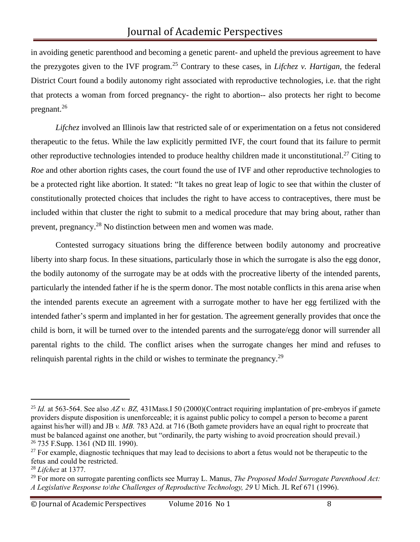in avoiding genetic parenthood and becoming a genetic parent- and upheld the previous agreement to have the prezygotes given to the IVF program.<sup>25</sup> Contrary to these cases, in *Lifchez v. Hartigan,* the federal District Court found a bodily autonomy right associated with reproductive technologies, i.e. that the right that protects a woman from forced pregnancy- the right to abortion-- also protects her right to become pregnant.<sup>26</sup>

*Lifchez* involved an Illinois law that restricted sale of or experimentation on a fetus not considered therapeutic to the fetus. While the law explicitly permitted IVF, the court found that its failure to permit other reproductive technologies intended to produce healthy children made it unconstitutional.<sup>27</sup> Citing to *Roe* and other abortion rights cases, the court found the use of IVF and other reproductive technologies to be a protected right like abortion. It stated: "It takes no great leap of logic to see that within the cluster of constitutionally protected choices that includes the right to have access to contraceptives, there must be included within that cluster the right to submit to a medical procedure that may bring about, rather than prevent, pregnancy.<sup>28</sup> No distinction between men and women was made.

Contested surrogacy situations bring the difference between bodily autonomy and procreative liberty into sharp focus. In these situations, particularly those in which the surrogate is also the egg donor, the bodily autonomy of the surrogate may be at odds with the procreative liberty of the intended parents, particularly the intended father if he is the sperm donor. The most notable conflicts in this arena arise when the intended parents execute an agreement with a surrogate mother to have her egg fertilized with the intended father's sperm and implanted in her for gestation. The agreement generally provides that once the child is born, it will be turned over to the intended parents and the surrogate/egg donor will surrender all parental rights to the child. The conflict arises when the surrogate changes her mind and refuses to relinguish parental rights in the child or wishes to terminate the pregnancy.<sup>29</sup>

<sup>25</sup> *Id.* at 563-564. See also *AZ v. BZ,* 431Mass.I 50 (2000)(Contract requiring implantation of pre-embryos if gamete providers dispute disposition is unenforceable; it is against public policy to compel a person to become a parent against his/her will) and JB *v. MB.* 783 A2d. at 716 (Both gamete providers have an equal right to procreate that must be balanced against one another, but "ordinarily, the party wishing to avoid procreation should prevail.) <sup>26</sup> 735 F.Supp. 1361 (ND Ill. 1990).

 $27$  For example, diagnostic techniques that may lead to decisions to abort a fetus would not be therapeutic to the fetus and could be restricted.

<sup>28</sup> *Lifchez* at 1377.

<sup>29</sup> For more on surrogate parenting conflicts see Murray L. Manus, *The Proposed Model Surrogate Parenthood Act: A Legislative Response to\the Challenges of Reproductive Technology, 29* U Mich. JL Ref 671 (1996).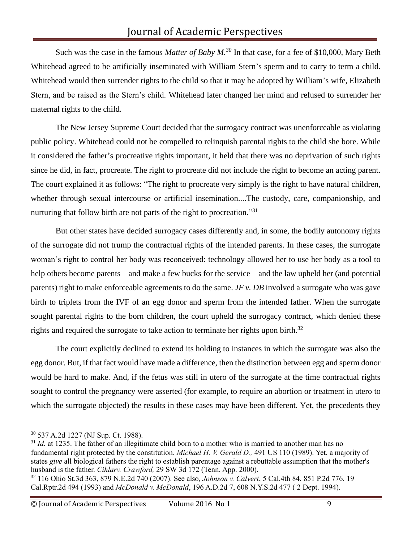Such was the case in the famous *Matter of Baby M.<sup>30</sup>* In that case, for a fee of \$10,000, Mary Beth Whitehead agreed to be artificially inseminated with William Stern's sperm and to carry to term a child. Whitehead would then surrender rights to the child so that it may be adopted by William's wife, Elizabeth Stern, and be raised as the Stern's child. Whitehead later changed her mind and refused to surrender her maternal rights to the child.

The New Jersey Supreme Court decided that the surrogacy contract was unenforceable as violating public policy. Whitehead could not be compelled to relinquish parental rights to the child she bore. While it considered the father's procreative rights important, it held that there was no deprivation of such rights since he did, in fact, procreate. The right to procreate did not include the right to become an acting parent. The court explained it as follows: "The right to procreate very simply is the right to have natural children, whether through sexual intercourse or artificial insemination....The custody, care, companionship, and nurturing that follow birth are not parts of the right to procreation."<sup>31</sup>

But other states have decided surrogacy cases differently and, in some, the bodily autonomy rights of the surrogate did not trump the contractual rights of the intended parents. In these cases, the surrogate woman's right to control her body was reconceived: technology allowed her to use her body as a tool to help others become parents – and make a few bucks for the service—and the law upheld her (and potential parents) right to make enforceable agreements to do the same. *JF v. DB* involved a surrogate who was gave birth to triplets from the IVF of an egg donor and sperm from the intended father. When the surrogate sought parental rights to the born children, the court upheld the surrogacy contract, which denied these rights and required the surrogate to take action to terminate her rights upon birth.<sup>32</sup>

The court explicitly declined to extend its holding to instances in which the surrogate was also the egg donor. But, if that fact would have made a difference, then the distinction between egg and sperm donor would be hard to make. And, if the fetus was still in utero of the surrogate at the time contractual rights sought to control the pregnancy were asserted (for example, to require an abortion or treatment in utero to which the surrogate objected) the results in these cases may have been different. Yet, the precedents they

<sup>30</sup> 537 A.2d 1227 (NJ Sup. Ct. 1988).

<sup>&</sup>lt;sup>31</sup> *Id.* at 1235. The father of an illegitimate child born to a mother who is married to another man has no fundamental right protected by the constitution. *Michael H. V. Gerald D.,* 491 US 110 (1989). Yet, a majority of states *give* all biological fathers the right to establish parentage against a rebuttable assumption that the mother's husband is the father. *Cihlarv. Crawford,* 29 SW 3d 172 (Tenn. App. 2000).

<sup>32</sup> 116 Ohio St.3d 363, 879 N.E.2d 740 (2007). See also*, Johnson v. Calvert*, 5 Cal.4th 84, 851 P.2d 776, 19 Cal.Rptr.2d 494 (1993) and *McDonald v. McDonald*, 196 A.D.2d 7, 608 N.Y.S.2d 477 ( 2 Dept. 1994).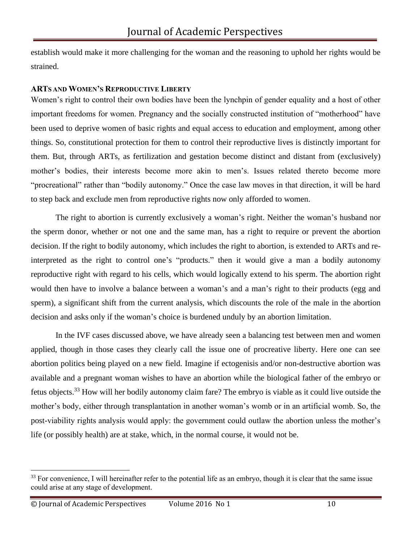establish would make it more challenging for the woman and the reasoning to uphold her rights would be strained.

### **ARTS AND WOMEN'S REPRODUCTIVE LIBERTY**

Women's right to control their own bodies have been the lynchpin of gender equality and a host of other important freedoms for women. Pregnancy and the socially constructed institution of "motherhood" have been used to deprive women of basic rights and equal access to education and employment, among other things. So, constitutional protection for them to control their reproductive lives is distinctly important for them. But, through ARTs, as fertilization and gestation become distinct and distant from (exclusively) mother's bodies, their interests become more akin to men's. Issues related thereto become more "procreational" rather than "bodily autonomy." Once the case law moves in that direction, it will be hard to step back and exclude men from reproductive rights now only afforded to women.

The right to abortion is currently exclusively a woman's right. Neither the woman's husband nor the sperm donor, whether or not one and the same man, has a right to require or prevent the abortion decision. If the right to bodily autonomy, which includes the right to abortion, is extended to ARTs and reinterpreted as the right to control one's "products." then it would give a man a bodily autonomy reproductive right with regard to his cells, which would logically extend to his sperm. The abortion right would then have to involve a balance between a woman's and a man's right to their products (egg and sperm), a significant shift from the current analysis, which discounts the role of the male in the abortion decision and asks only if the woman's choice is burdened unduly by an abortion limitation.

In the IVF cases discussed above, we have already seen a balancing test between men and women applied, though in those cases they clearly call the issue one of procreative liberty. Here one can see abortion politics being played on a new field. Imagine if ectogenisis and/or non-destructive abortion was available and a pregnant woman wishes to have an abortion while the biological father of the embryo or fetus objects.<sup>33</sup> How will her bodily autonomy claim fare? The embryo is viable as it could live outside the mother's body, either through transplantation in another woman's womb or in an artificial womb. So, the post-viability rights analysis would apply: the government could outlaw the abortion unless the mother's life (or possibly health) are at stake, which, in the normal course, it would not be.

<sup>&</sup>lt;sup>33</sup> For convenience, I will hereinafter refer to the potential life as an embryo, though it is clear that the same issue could arise at any stage of development.